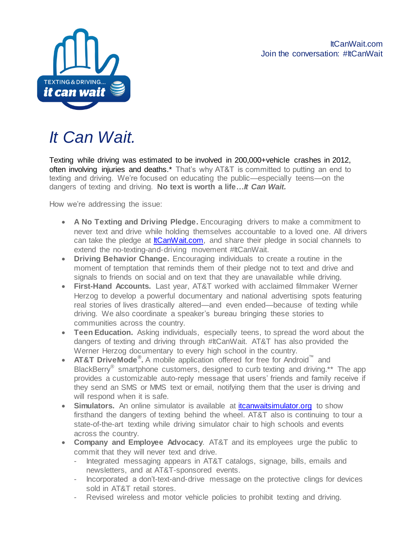

## *It Can Wait.*

Texting while driving was estimated to be involved in 200,000+vehicle crashes in 2012, often involving injuries and deaths.\* That's why AT&T is committed to putting an end to texting and driving. We're focused on educating the public—especially teens—on the dangers of texting and driving. **No text is worth a life…***It Can Wait.* 

How we're addressing the issue:

- **A No Texting and Driving Pledge.** Encouraging drivers to make a commitment to never text and drive while holding themselves accountable to a loved one. All drivers can take the pledge at **ItCanWait.com**, and share their pledge in social channels to extend the no-texting-and-driving movement #ItCanWait.
- **Driving Behavior Change.** Encouraging individuals to create a routine in the moment of temptation that reminds them of their pledge not to text and drive and signals to friends on social and on text that they are unavailable while driving.
- **First-Hand Accounts.** Last year, AT&T worked with acclaimed filmmaker Werner Herzog to develop a powerful documentary and national advertising spots featuring real stories of lives drastically altered—and even ended—because of texting while driving. We also coordinate a speaker's bureau bringing these stories to communities across the country.
- **Teen Education.** Asking individuals, especially teens, to spread the word about the dangers of texting and driving through #ItCanWait. AT&T has also provided the Werner Herzog documentary to every high school in the country.
- **AT&T DriveMode® .** A mobile application offered for free for Android™ and BlackBerry<sup>®</sup> smartphone customers, designed to curb texting and driving.\*\* The app provides a customizable auto-reply message that users' friends and family receive if they send an SMS or MMS text or email, notifying them that the user is driving and will respond when it is safe.
- **Simulators.** An online simulator is available at *itcanwaitsimulator.org* to show firsthand the dangers of texting behind the wheel. AT&T also is continuing to tour a state-of-the-art texting while driving simulator chair to high schools and events across the country.
- **Company and Employee Advocacy**. AT&T and its employees urge the public to commit that they will never text and drive.
	- Integrated messaging appears in AT&T catalogs, signage, bills, emails and newsletters, and at AT&T-sponsored events.
	- Incorporated a don't-text-and-drive message on the protective clings for devices sold in AT&T retail stores.
	- Revised wireless and motor vehicle policies to prohibit texting and driving.